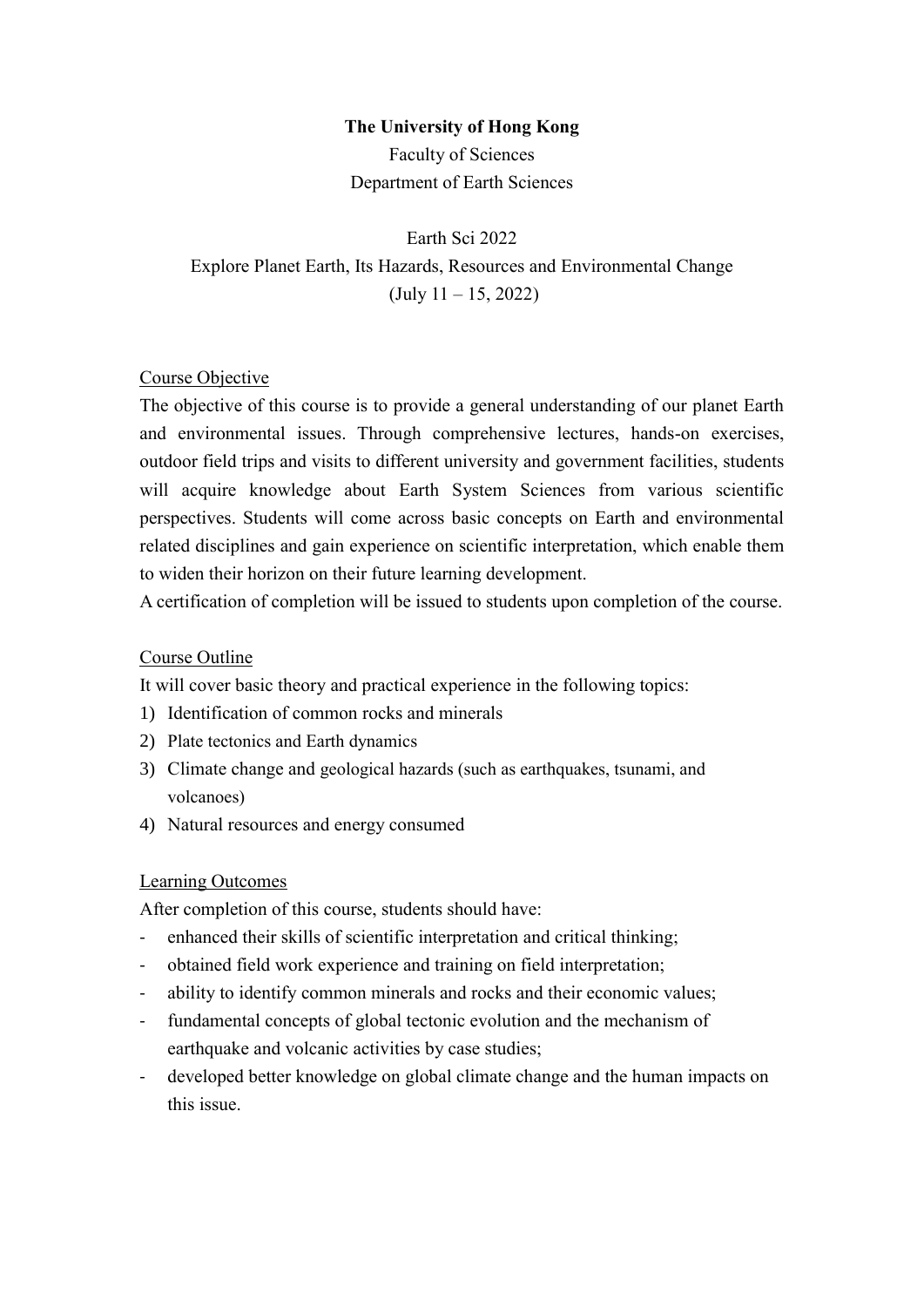## **The University of Hong Kong**

Faculty of Sciences Department of Earth Sciences

Earth Sci 2022 Explore Planet Earth, Its Hazards, Resources and Environmental Change (July 11 – 15, 2022)

## Course Objective

The objective of this course is to provide a general understanding of our planet Earth and environmental issues. Through comprehensive lectures, hands-on exercises, outdoor field trips and visits to different university and government facilities, students will acquire knowledge about Earth System Sciences from various scientific perspectives. Students will come across basic concepts on Earth and environmental related disciplines and gain experience on scientific interpretation, which enable them to widen their horizon on their future learning development.

A certification of completion will be issued to students upon completion of the course.

#### Course Outline

It will cover basic theory and practical experience in the following topics:

- 1) Identification of common rocks and minerals
- 2) Plate tectonics and Earth dynamics
- 3) Climate change and geological hazards (such as earthquakes, tsunami, and volcanoes)
- 4) Natural resources and energy consumed

#### Learning Outcomes

After completion of this course, students should have:

- enhanced their skills of scientific interpretation and critical thinking;
- obtained field work experience and training on field interpretation;
- ability to identify common minerals and rocks and their economic values;
- fundamental concepts of global tectonic evolution and the mechanism of earthquake and volcanic activities by case studies;
- developed better knowledge on global climate change and the human impacts on this issue.